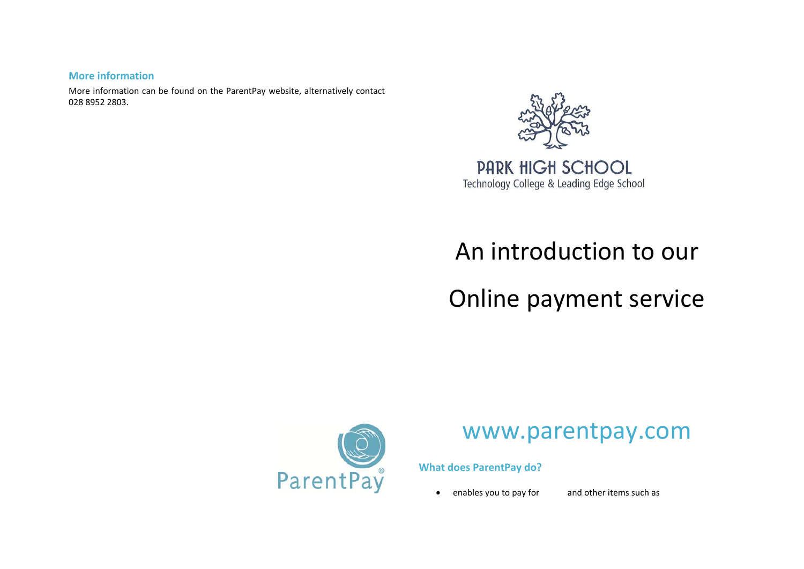### **More information**

More information can be found on the ParentPay website, alternatively contact 028 8952 2803.



### **PARK HIGH SCHOOL** Technology College & Leading Edge School

## An introduction to our

# Online payment service



## www.parentpay.com

**What does ParentPay do?**

• enables you to pay for and other items such as